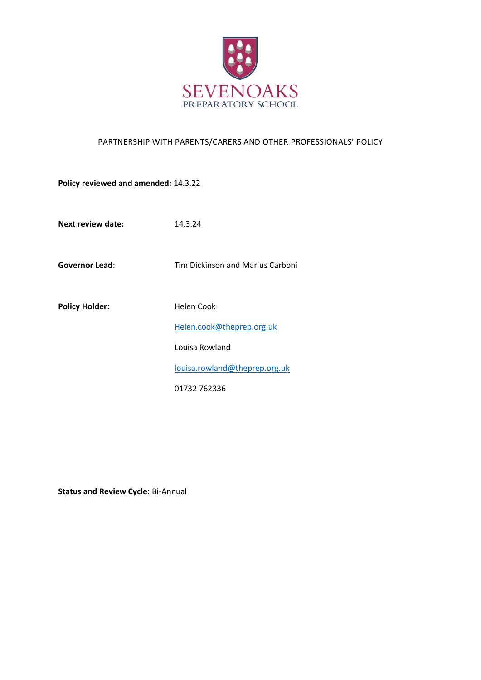

## PARTNERSHIP WITH PARENTS/CARERS AND OTHER PROFESSIONALS' POLICY

**Policy reviewed and amended:** 14.3.22

**Next review date:** 14.3.24

**Governor Lead**: Tim Dickinson and Marius Carboni

Policy Holder: **Helen Cook** 

[Helen.cook@theprep.org.uk](mailto:Helen.cook@theprep.org.uk)

Louisa Rowland

[louisa.rowland@theprep.org.uk](mailto:Samantha.hayward@theprep.org.uk)

01732 762336

**Status and Review Cycle:** Bi-Annual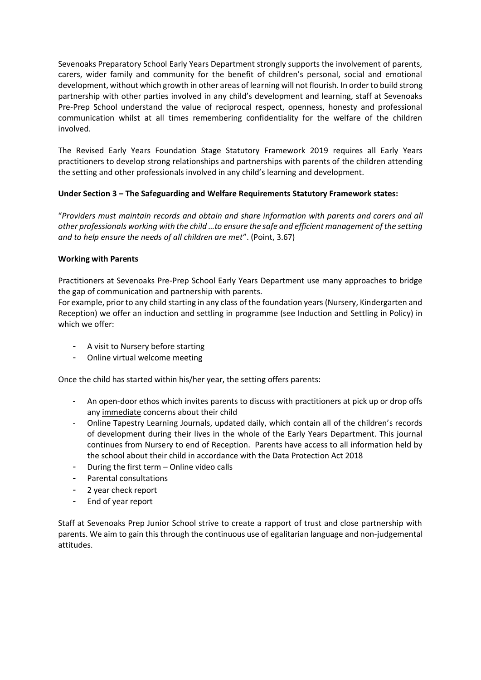Sevenoaks Preparatory School Early Years Department strongly supports the involvement of parents, carers, wider family and community for the benefit of children's personal, social and emotional development, without which growth in other areas of learning will not flourish. In order to build strong partnership with other parties involved in any child's development and learning, staff at Sevenoaks Pre-Prep School understand the value of reciprocal respect, openness, honesty and professional communication whilst at all times remembering confidentiality for the welfare of the children involved.

The Revised Early Years Foundation Stage Statutory Framework 2019 requires all Early Years practitioners to develop strong relationships and partnerships with parents of the children attending the setting and other professionals involved in any child's learning and development.

## **Under Section 3 – The Safeguarding and Welfare Requirements Statutory Framework states:**

"*Providers must maintain records and obtain and share information with parents and carers and all other professionals working with the child …to ensure the safe and efficient management of the setting and to help ensure the needs of all children are met*". (Point, 3.67)

## **Working with Parents**

Practitioners at Sevenoaks Pre-Prep School Early Years Department use many approaches to bridge the gap of communication and partnership with parents.

For example, prior to any child starting in any class of the foundation years (Nursery, Kindergarten and Reception) we offer an induction and settling in programme (see Induction and Settling in Policy) in which we offer:

- A visit to Nursery before starting
- Online virtual welcome meeting

Once the child has started within his/her year, the setting offers parents:

- An open-door ethos which invites parents to discuss with practitioners at pick up or drop offs any immediate concerns about their child
- Online Tapestry Learning Journals, updated daily, which contain all of the children's records of development during their lives in the whole of the Early Years Department. This journal continues from Nursery to end of Reception. Parents have access to all information held by the school about their child in accordance with the Data Protection Act 2018
- During the first term Online video calls
- Parental consultations
- 2 year check report
- End of year report

Staff at Sevenoaks Prep Junior School strive to create a rapport of trust and close partnership with parents. We aim to gain this through the continuous use of egalitarian language and non-judgemental attitudes.